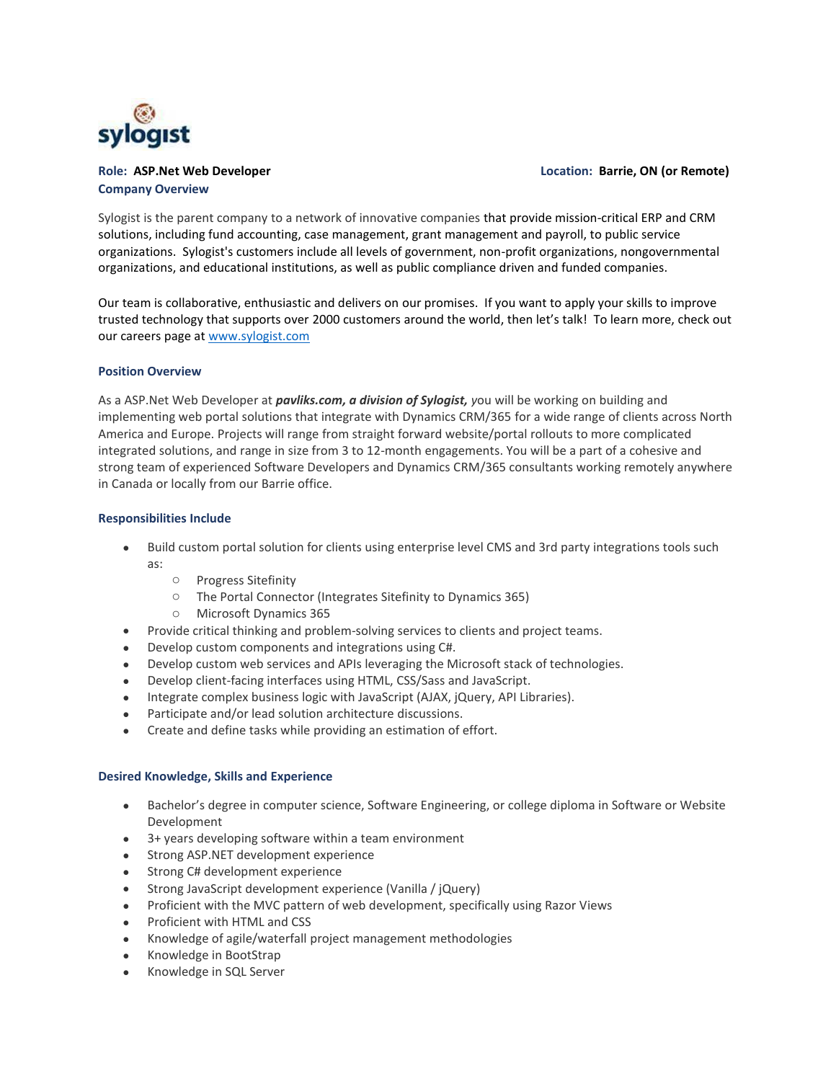

# **Company Overview**

#### **Role: ASP.Net Web Developer Location: Barrie, ON (or Remote)**

Sylogist is the parent company to a network of innovative companies that provide mission-critical ERP and CRM solutions, including fund accounting, case management, grant management and payroll, to public service organizations. Sylogist's customers include all levels of government, non-profit organizations, nongovernmental organizations, and educational institutions, as well as public compliance driven and funded companies.

Our team is collaborative, enthusiastic and delivers on our promises. If you want to apply your skills to improve trusted technology that supports over 2000 customers around the world, then let's talk! To learn more, check out our careers page at [www.sylogist.com](http://www.sylogist.com/)

## **Position Overview**

As a ASP.Net Web Developer at *pavliks.com, a division of Sylogist, y*ou will be working on building and implementing web portal solutions that integrate with Dynamics CRM/365 for a wide range of clients across North America and Europe. Projects will range from straight forward website/portal rollouts to more complicated integrated solutions, and range in size from 3 to 12-month engagements. You will be a part of a cohesive and strong team of experienced Software Developers and Dynamics CRM/365 consultants working remotely anywhere in Canada or locally from our Barrie office.

## **Responsibilities Include**

- Build custom portal solution for clients using enterprise level CMS and 3rd party integrations tools such as:
	- o Progress Sitefinity
	- o The Portal Connector (Integrates Sitefinity to Dynamics 365)
	- o Microsoft Dynamics 365
- Provide critical thinking and problem-solving services to clients and project teams.
- Develop custom components and integrations using C#.
- Develop custom web services and APIs leveraging the Microsoft stack of technologies.
- Develop client-facing interfaces using HTML, CSS/Sass and JavaScript.
- Integrate complex business logic with JavaScript (AJAX, jQuery, API Libraries).
- Participate and/or lead solution architecture discussions.
- Create and define tasks while providing an estimation of effort.

#### **Desired Knowledge, Skills and Experience**

- Bachelor's degree in computer science, Software Engineering, or college diploma in Software or Website Development
- 3+ years developing software within a team environment
- Strong ASP.NET development experience
- Strong C# development experience
- Strong JavaScript development experience (Vanilla / jQuery)
- Proficient with the MVC pattern of web development, specifically using Razor Views
- Proficient with HTML and CSS
- Knowledge of agile/waterfall project management methodologies
- Knowledge in BootStrap
- Knowledge in SQL Server